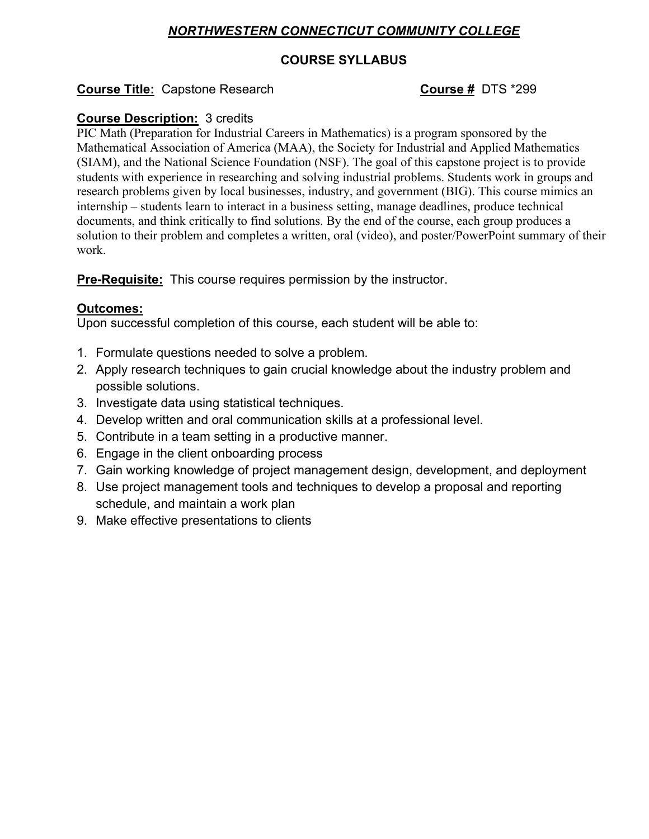# *NORTHWESTERN CONNECTICUT COMMUNITY COLLEGE*

## **COURSE SYLLABUS**

## **Course Title:** Capstone Research **COUTSE # DTS** \*299

## **Course Description:** 3 credits

PIC Math (Preparation for Industrial Careers in Mathematics) is a program sponsored by the Mathematical Association of America (MAA), the Society for Industrial and Applied Mathematics (SIAM), and the National Science Foundation (NSF). The goal of this capstone project is to provide students with experience in researching and solving industrial problems. Students work in groups and research problems given by local businesses, industry, and government (BIG). This course mimics an internship – students learn to interact in a business setting, manage deadlines, produce technical documents, and think critically to find solutions. By the end of the course, each group produces a solution to their problem and completes a written, oral (video), and poster/PowerPoint summary of their work.

**Pre-Requisite:** This course requires permission by the instructor.

## **Outcomes:**

Upon successful completion of this course, each student will be able to:

- 1. Formulate questions needed to solve a problem.
- 2. Apply research techniques to gain crucial knowledge about the industry problem and possible solutions.
- 3. Investigate data using statistical techniques.
- 4. Develop written and oral communication skills at a professional level.
- 5. Contribute in a team setting in a productive manner.
- 6. Engage in the client onboarding process
- 7. Gain working knowledge of project management design, development, and deployment
- 8. Use project management tools and techniques to develop a proposal and reporting schedule, and maintain a work plan
- 9. Make effective presentations to clients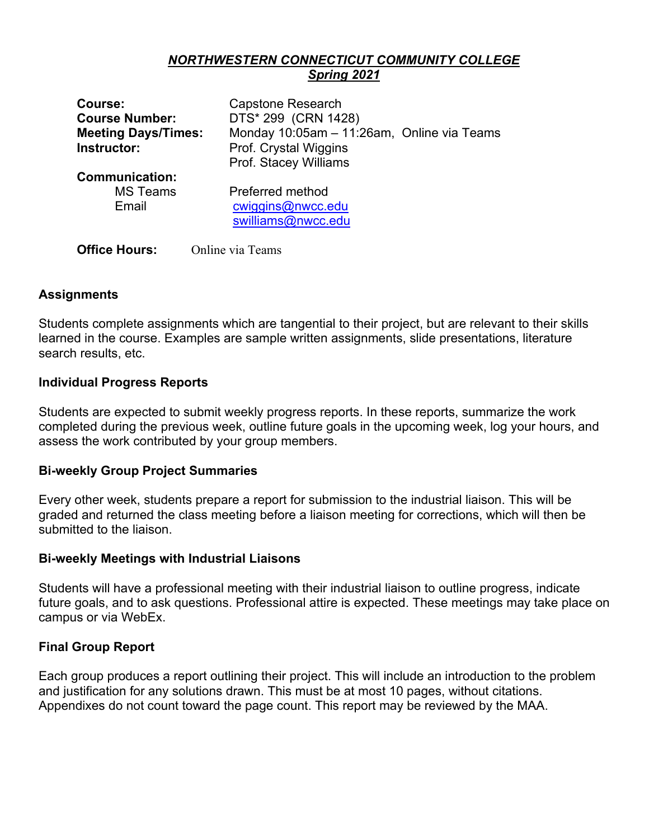## *NORTHWESTERN CONNECTICUT COMMUNITY COLLEGE Spring 2021*

| Course:                    | <b>Capstone Research</b>                   |
|----------------------------|--------------------------------------------|
| <b>Course Number:</b>      | DTS* 299 (CRN 1428)                        |
| <b>Meeting Days/Times:</b> | Monday 10:05am - 11:26am, Online via Teams |
| Instructor:                | Prof. Crystal Wiggins                      |
|                            | Prof. Stacey Williams                      |
| <b>Communication:</b>      |                                            |
| <b>MS Teams</b>            | Preferred method                           |
| Email                      | cwiggins@nwcc.edu                          |
|                            | swilliams@nwcc.edu                         |
|                            |                                            |
| <b>Office Hours:</b>       | Online via Teams                           |

## **Assignments**

Students complete assignments which are tangential to their project, but are relevant to their skills learned in the course. Examples are sample written assignments, slide presentations, literature search results, etc.

### **Individual Progress Reports**

Students are expected to submit weekly progress reports. In these reports, summarize the work completed during the previous week, outline future goals in the upcoming week, log your hours, and assess the work contributed by your group members.

#### **Bi-weekly Group Project Summaries**

Every other week, students prepare a report for submission to the industrial liaison. This will be graded and returned the class meeting before a liaison meeting for corrections, which will then be submitted to the liaison.

#### **Bi-weekly Meetings with Industrial Liaisons**

Students will have a professional meeting with their industrial liaison to outline progress, indicate future goals, and to ask questions. Professional attire is expected. These meetings may take place on campus or via WebEx.

#### **Final Group Report**

Each group produces a report outlining their project. This will include an introduction to the problem and justification for any solutions drawn. This must be at most 10 pages, without citations. Appendixes do not count toward the page count. This report may be reviewed by the MAA.